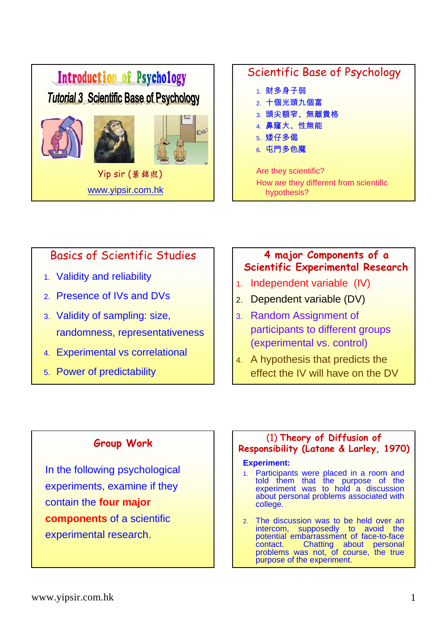

## Basics of Scientific Studies

- 1. Validity and reliability
- 2. Presence of IVs and DVs
- 3. Validity of sampling: size, randomness, representativeness
- 4. Experimental vs correlational
- 5. Power of predictability

### **4 major Components of a Scientific Experimental Research**

- 1. Independent variable (IV)
- 2. Dependent variable (DV)
- 3. Random Assignment of participants to different groups (experimental vs. control)
- 4. A hypothesis that predicts the effect the IV will have on the DV

### **Group Work**

In the following psychological experiments, examine if they contain the **four major components** of a scientific experimental research.

### (1) **Theory of Diffusion of Responsibility (Latane & Larley, 1970)**

#### **Experiment:**

- 1. Participants were placed in a room and told them that the purpose of the experiment was to hold a discussion about personal problems associated with college.
- 2. The discussion was to be held over an intercom, supposedly to avoid the potential embarrassment of face-to-face<br>contact. Chatting about personal contact. Chatting about personal problems was not, of course, the true purpose of the experiment.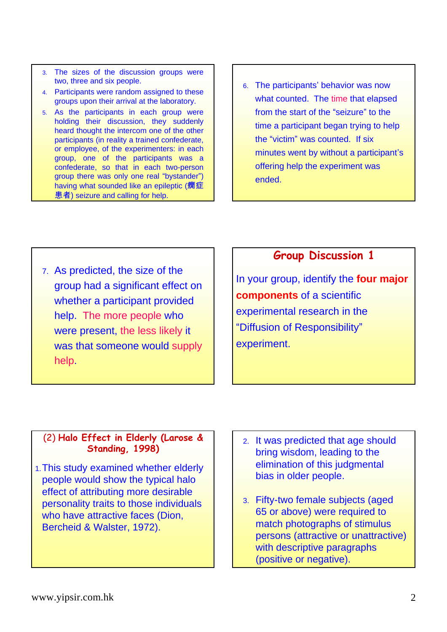- 3. The sizes of the discussion groups were two, three and six people.
- 4. Participants were random assigned to these groups upon their arrival at the laboratory.
- 5. As the participants in each group were holding their discussion, they suddenly heard thought the intercom one of the other participants (in reality a trained confederate, or employee, of the experimenters: in each group, one of the participants was a confederate, so that in each two-person group there was only one real "bystander") having what sounded like an epileptic (癇症 患者) seizure and calling for help.
- 6. The participants' behavior was now what counted. The time that elapsed from the start of the "seizure" to the time a participant began trying to help the "victim" was counted. If six minutes went by without a participant's offering help the experiment was ended.

7. As predicted, the size of the group had a significant effect on whether a participant provided help. The more people who were present, the less likely it was that someone would supply help.

## **Group Discussion 1**

In your group, identify the **four major components** of a scientific experimental research in the "Diffusion of Responsibility" experiment.

#### (2) **Halo Effect in Elderly (Larose & Standing, 1998)**

- 1.This study examined whether elderly people would show the typical halo effect of attributing more desirable personality traits to those individuals who have attractive faces (Dion, Bercheid & Walster, 1972).
- 2. It was predicted that age should bring wisdom, leading to the elimination of this judgmental bias in older people.
- 3. Fifty-two female subjects (aged 65 or above) were required to match photographs of stimulus persons (attractive or unattractive) with descriptive paragraphs (positive or negative).